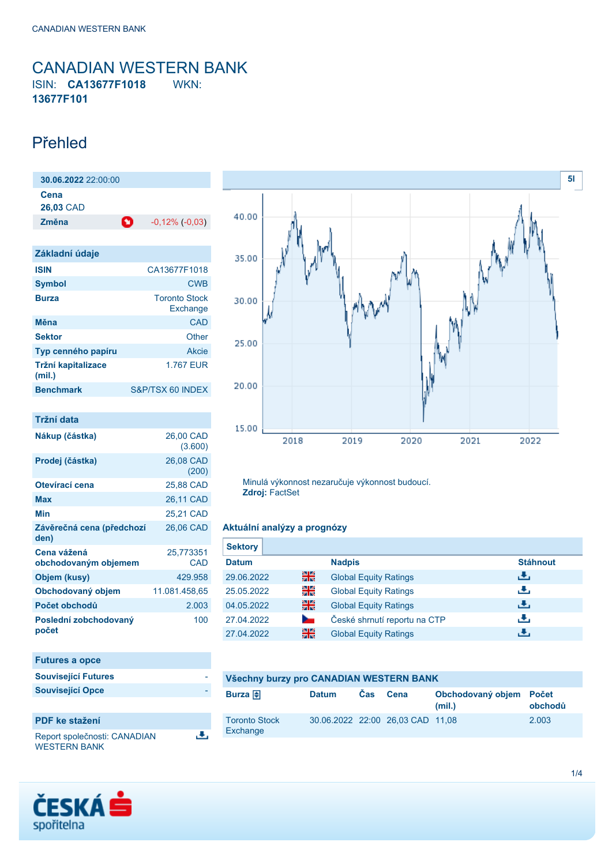## <span id="page-0-0"></span>CANADIAN WESTERN BANK ISIN: **CA13677F1018** WKN: **13677F101**

## Přehled

**30.06.2022** 22:00:00 **Cena 26,03** CAD **Změna** -0,12% (-0,03)

| Základní údaje               |                                  |
|------------------------------|----------------------------------|
| <b>ISIN</b>                  | CA13677F1018                     |
| <b>Symbol</b>                | <b>CWB</b>                       |
| <b>Burza</b>                 | <b>Toronto Stock</b><br>Exchange |
| Měna                         | CAD                              |
| <b>Sektor</b>                | Other                            |
| Typ cenného papíru           | Akcie                            |
| Tržní kapitalizace<br>(mil.) | <b>1.767 EUR</b>                 |
| <b>Benchmark</b>             | S&P/TSX 60 INDEX                 |

| Tržní data                          |                      |
|-------------------------------------|----------------------|
| Nákup (částka)                      | 26.00 CAD<br>(3.600) |
| Prodej (částka)                     | 26,08 CAD<br>(200)   |
| Otevírací cena                      | 25,88 CAD            |
| Max                                 | 26,11 CAD            |
| Min                                 | 25,21 CAD            |
| Závěrečná cena (předchozí<br>den)   | 26,06 CAD            |
| Cena vážená<br>obchodovaným objemem | 25,773351<br>CAD     |
| Objem (kusy)                        | 429.958              |
| Obchodovaný objem                   | 11.081.458,65        |
| Počet obchodů                       | 2.003                |
| Poslední zobchodovaný<br>počet      | 100                  |

| <b>Futures a opce</b>      |  |
|----------------------------|--|
| <b>Související Futures</b> |  |
| <b>Související Opce</b>    |  |
|                            |  |

### **PDF ke stažení**

Report společnosti: CANADIAN WESTERN BANK

违



Minulá výkonnost nezaručuje výkonnost budoucí. **Zdroj:** FactSet

### **Aktuální analýzy a prognózy**

| Sektory          |    |                              |                 |
|------------------|----|------------------------------|-----------------|
| <b>Datum</b>     |    | <b>Nadpis</b>                | <b>Stáhnout</b> |
| 29.06.2022       | 꾉쭍 | <b>Global Equity Ratings</b> | رنان            |
| 25.05.2022       | 읡  | <b>Global Equity Ratings</b> | رنان            |
| 픪춙<br>04.05.2022 |    | <b>Global Equity Ratings</b> | رنان            |
| 27.04.2022       |    | České shrnutí reportu na CTP | رنان            |
| 27.04.2022       | 꾉쭍 | <b>Global Equity Ratings</b> | υ.              |

| Všechny burzy pro CANADIAN WESTERN BANK |              |            |                                  |                                   |         |  |
|-----------------------------------------|--------------|------------|----------------------------------|-----------------------------------|---------|--|
| Burza $\bigoplus$                       | <b>Datum</b> | <b>Cas</b> | Cena                             | Obchodovaný objem Počet<br>(mil.) | obchodů |  |
| <b>Toronto Stock</b><br>Exchange        |              |            | 30.06.2022 22:00 26.03 CAD 11.08 |                                   | 2.003   |  |

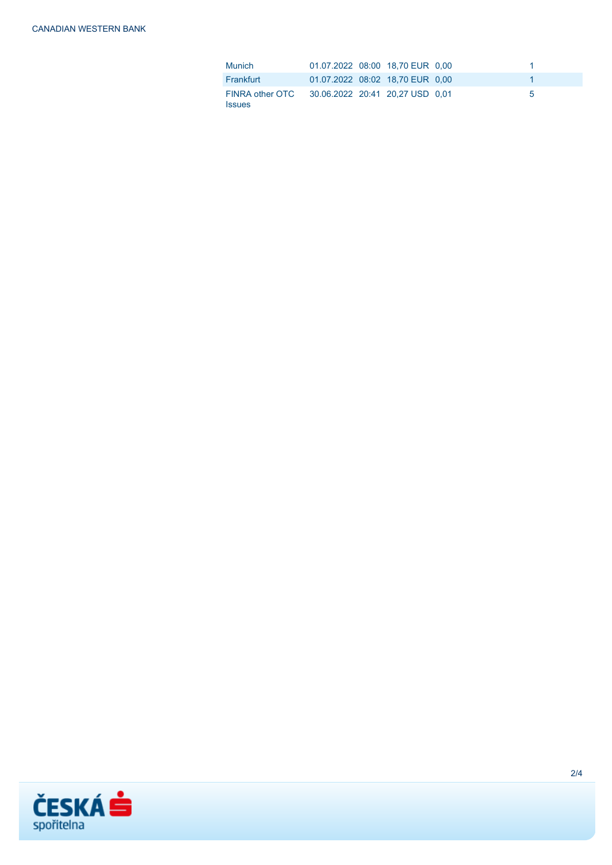| <b>Munich</b>                                                    | 01.07.2022 08:00 18,70 EUR 0,00 |  |   |
|------------------------------------------------------------------|---------------------------------|--|---|
| Frankfurt                                                        | 01.07.2022 08:02 18.70 EUR 0.00 |  |   |
| FINRA other OTC 30.06.2022 20:41 20.27 USD 0.01<br><b>Issues</b> |                                 |  | 5 |

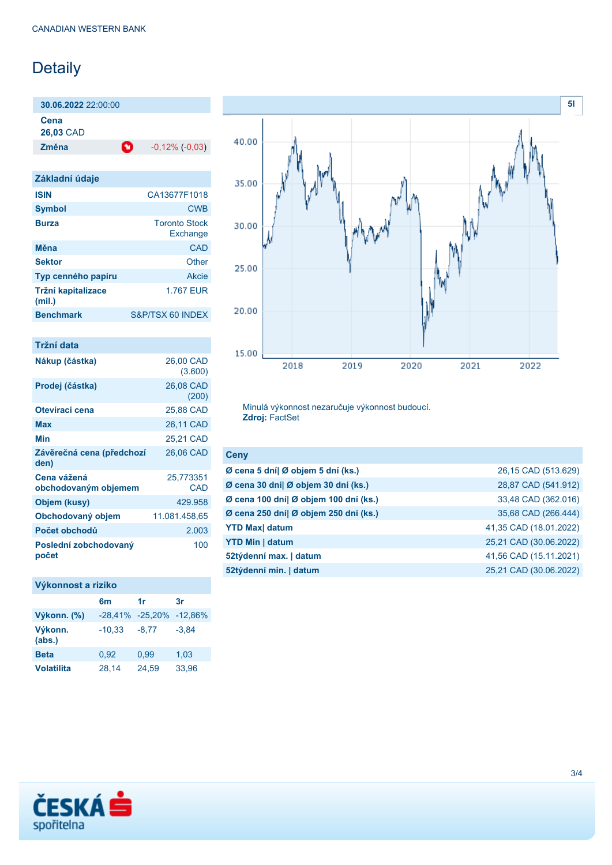# Detaily

**30.06.2022** 22:00:00 **Cena**

**26,03** CAD

**Změna** -0,12% (-0,03)

| Základní údaje               |                                  |
|------------------------------|----------------------------------|
| <b>ISIN</b>                  | CA13677F1018                     |
| <b>Symbol</b>                | <b>CWB</b>                       |
| <b>Burza</b>                 | <b>Toronto Stock</b><br>Exchange |
| Měna                         | CAD                              |
| <b>Sektor</b>                | Other                            |
| Typ cenného papíru           | Akcie                            |
| Tržní kapitalizace<br>(mil.) | 1.767 FUR                        |
| <b>Benchmark</b>             | S&P/TSX 60 INDEX                 |
|                              |                                  |

| Tržní data                          |                      |
|-------------------------------------|----------------------|
| Nákup (částka)                      | 26,00 CAD<br>(3.600) |
| Prodej (částka)                     | 26.08 CAD<br>(200)   |
| Otevírací cena                      | 25.88 CAD            |
| Max                                 | 26.11 CAD            |
| Min                                 | 25,21 CAD            |
| Závěrečná cena (předchozí<br>den)   | 26,06 CAD            |
| Cena vážená<br>obchodovaným objemem | 25,773351<br>CAD     |
| Objem (kusy)                        | 429.958              |
| Obchodovaný objem                   | 11.081.458,65        |
| Počet obchodů                       | 2.003                |
| Poslední zobchodovaný<br>počet      | 100                  |

#### **Výkonnost a riziko**

|                   | 6m                  | 1r      | 3r      |
|-------------------|---------------------|---------|---------|
| Výkonn. (%)       | $-28,41\% -25,20\%$ |         | -12.86% |
| Výkonn.<br>(abs.) | $-10,33$            | $-8.77$ | $-3.84$ |
| <b>Beta</b>       | 0.92                | 0.99    | 1,03    |
| <b>Volatilita</b> | 28,14               | 24,59   | 33,96   |



Minulá výkonnost nezaručuje výkonnost budoucí. **Zdroj:** FactSet

| <b>Ceny</b>                           |                        |
|---------------------------------------|------------------------|
| Ø cena 5 dní  Ø objem 5 dní (ks.)     | 26,15 CAD (513.629)    |
| Ø cena 30 dní  Ø objem 30 dní (ks.)   | 28,87 CAD (541.912)    |
| Ø cena 100 dní  Ø objem 100 dní (ks.) | 33,48 CAD (362.016)    |
| Ø cena 250 dní  Ø objem 250 dní (ks.) | 35,68 CAD (266.444)    |
| <b>YTD Max</b> datum                  | 41,35 CAD (18.01.2022) |
| <b>YTD Min   datum</b>                | 25,21 CAD (30.06.2022) |
| 52týdenní max.   datum                | 41,56 CAD (15.11.2021) |
| 52týdenní min.   datum                | 25,21 CAD (30.06.2022) |
|                                       |                        |